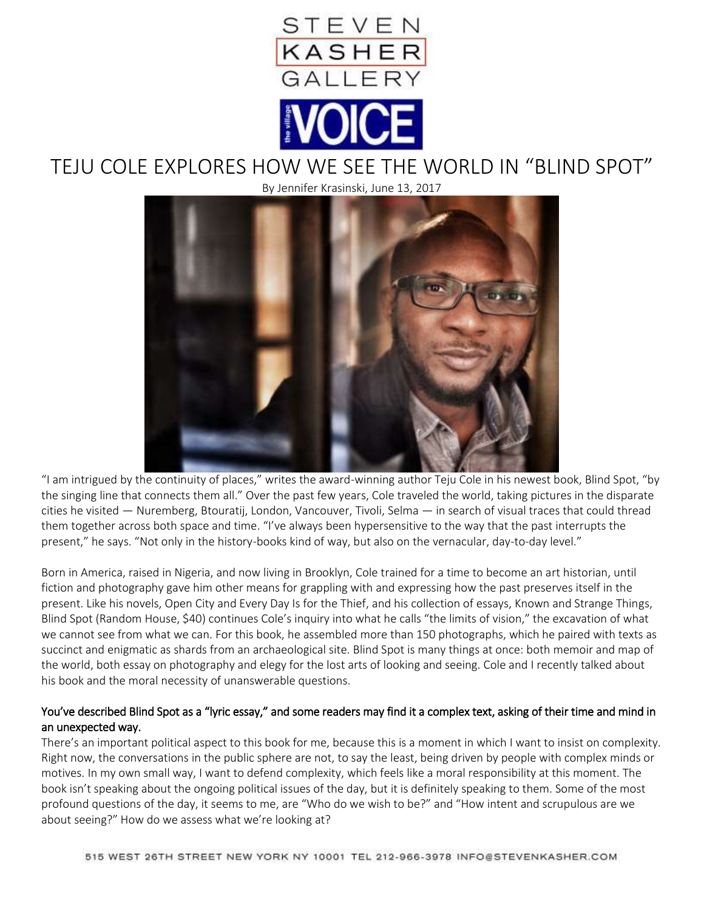

# TEJU COLE EXPLORES HOW WE SEE THE WORLD IN "BLIND SPOT"

By Jennifer Krasinski, June 13, 2017



"I am intrigued by the continuity of places," writes the award-winning author Teju Cole in his newest book, Blind Spot, "by the singing line that connects them all." Over the past few years, Cole traveled the world, taking pictures in the disparate cities he visited — Nuremberg, Btouratij, London, Vancouver, Tivoli, Selma — in search of visual traces that could thread them together across both space and time. "I've always been hypersensitive to the way that the past interrupts the present," he says. "Not only in the history-books kind of way, but also on the vernacular, day-to-day level."

Born in America, raised in Nigeria, and now living in Brooklyn, Cole trained for a time to become an art historian, until fiction and photography gave him other means for grappling with and expressing how the past preserves itself in the present. Like his novels, Open City and Every Day Is for the Thief, and his collection of essays, Known and Strange Things, Blind Spot (Random House, \$40) continues Cole's inquiry into what he calls "the limits of vision," the excavation of what we cannot see from what we can. For this book, he assembled more than 150 photographs, which he paired with texts as succinct and enigmatic as shards from an archaeological site. Blind Spot is many things at once: both memoir and map of the world, both essay on photography and elegy for the lost arts of looking and seeing. Cole and I recently talked about his book and the moral necessity of unanswerable questions.

# You've described Blind Spot as a "lyric essay," and some readers may find it a complex text, asking of their time and mind in an unexpected way.

There's an important political aspect to this book for me, because this is a moment in which I want to insist on complexity. Right now, the conversations in the public sphere are not, to say the least, being driven by people with complex minds or motives. In my own small way, I want to defend complexity, which feels like a moral responsibility at this moment. The book isn't speaking about the ongoing political issues of the day, but it is definitely speaking to them. Some of the most profound questions of the day, it seems to me, are "Who do we wish to be?" and "How intent and scrupulous are we about seeing?" How do we assess what we're looking at?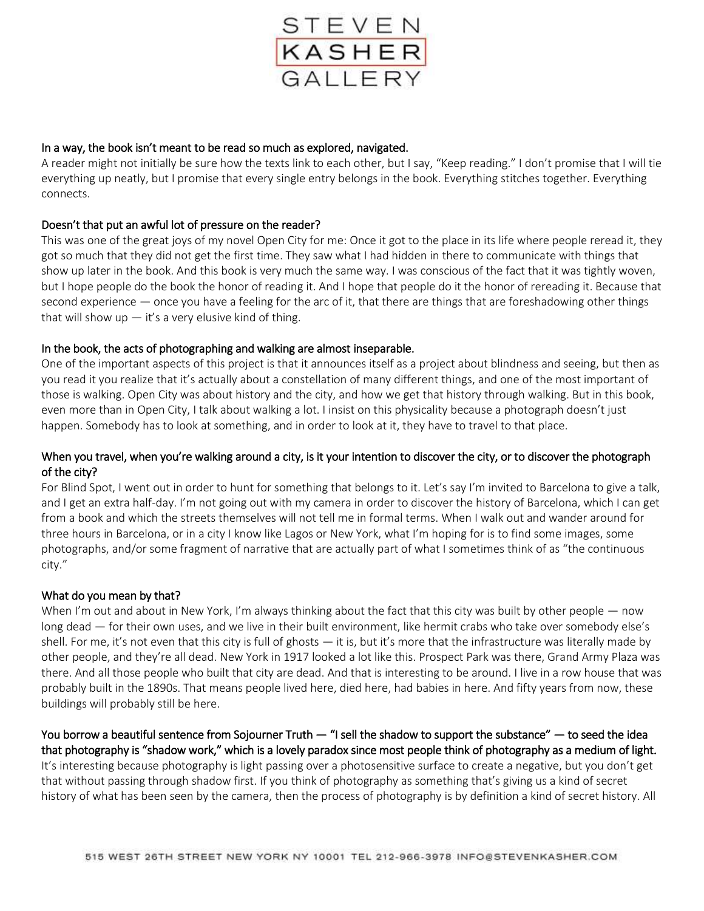

#### In a way, the book isn't meant to be read so much as explored, navigated.

A reader might not initially be sure how the texts link to each other, but I say, "Keep reading." I don't promise that I will tie everything up neatly, but I promise that every single entry belongs in the book. Everything stitches together. Everything connects.

## Doesn't that put an awful lot of pressure on the reader?

This was one of the great joys of my novel Open City for me: Once it got to the place in its life where people reread it, they got so much that they did not get the first time. They saw what I had hidden in there to communicate with things that show up later in the book. And this book is very much the same way. I was conscious of the fact that it was tightly woven, but I hope people do the book the honor of reading it. And I hope that people do it the honor of rereading it. Because that second experience — once you have a feeling for the arc of it, that there are things that are foreshadowing other things that will show up  $-$  it's a very elusive kind of thing.

## In the book, the acts of photographing and walking are almost inseparable.

One of the important aspects of this project is that it announces itself as a project about blindness and seeing, but then as you read it you realize that it's actually about a constellation of many different things, and one of the most important of those is walking. Open City was about history and the city, and how we get that history through walking. But in this book, even more than in Open City, I talk about walking a lot. I insist on this physicality because a photograph doesn't just happen. Somebody has to look at something, and in order to look at it, they have to travel to that place.

## When you travel, when you're walking around a city, is it your intention to discover the city, or to discover the photograph of the city?

For Blind Spot, I went out in order to hunt for something that belongs to it. Let's say I'm invited to Barcelona to give a talk, and I get an extra half-day. I'm not going out with my camera in order to discover the history of Barcelona, which I can get from a book and which the streets themselves will not tell me in formal terms. When I walk out and wander around for three hours in Barcelona, or in a city I know like Lagos or New York, what I'm hoping for is to find some images, some photographs, and/or some fragment of narrative that are actually part of what I sometimes think of as "the continuous city."

#### What do you mean by that?

When I'm out and about in New York, I'm always thinking about the fact that this city was built by other people — now long dead — for their own uses, and we live in their built environment, like hermit crabs who take over somebody else's shell. For me, it's not even that this city is full of ghosts — it is, but it's more that the infrastructure was literally made by other people, and they're all dead. New York in 1917 looked a lot like this. Prospect Park was there, Grand Army Plaza was there. And all those people who built that city are dead. And that is interesting to be around. I live in a row house that was probably built in the 1890s. That means people lived here, died here, had babies in here. And fifty years from now, these buildings will probably still be here.

You borrow a beautiful sentence from Sojourner Truth — "I sell the shadow to support the substance" — to seed the idea that photography is "shadow work," which is a lovely paradox since most people think of photography as a medium of light. It's interesting because photography is light passing over a photosensitive surface to create a negative, but you don't get that without passing through shadow first. If you think of photography as something that's giving us a kind of secret history of what has been seen by the camera, then the process of photography is by definition a kind of secret history. All